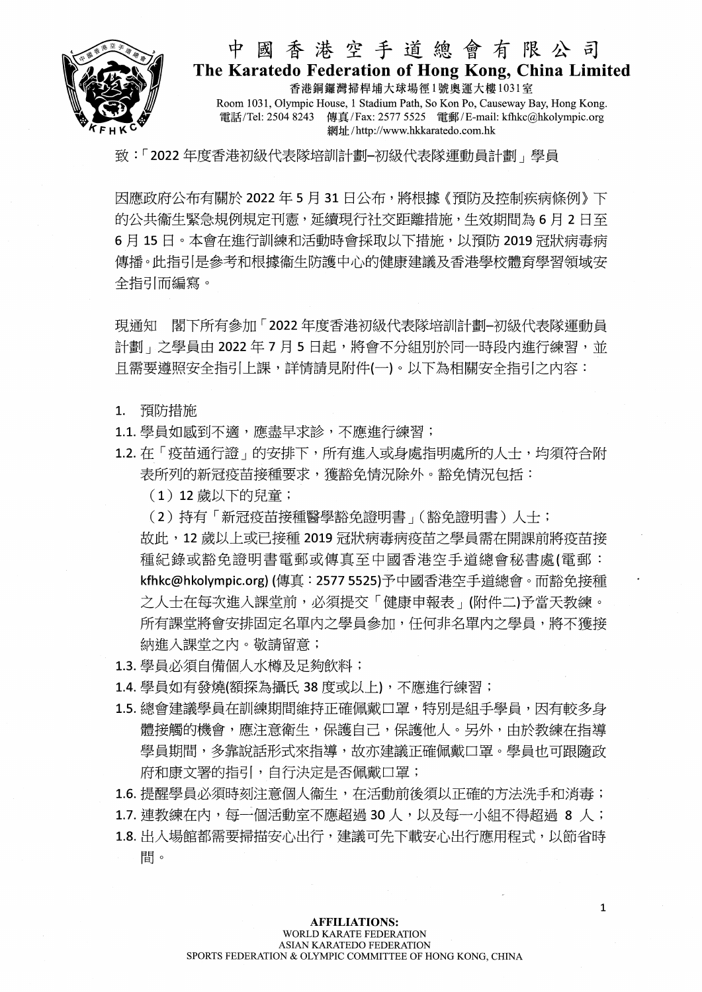

## 中國香港空手道總會有限公司 The Karatedo Federation of Hong Kong, China Limited

香港銅鑼灣掃桿埔大球場徑1號奧運大樓1031室 Room 1031, Olympic House, 1 Stadium Path, So Kon Po, Causeway Bay, Hong Kong. 電話/Tel: 2504 8243 傳真/Fax: 2577 5525 電郵/E-mail: kfhkc@hkolympic.org 網址/http://www.hkkaratedo.com.hk

致:「2022年度香港初級代表隊培訓計劃-初級代表隊運動員計劃」學員

因應政府公布有關於 2022年5月31日公布,將根據《預防及控制疾病條例》下 的公共衞生緊急規例規定刊憲,延續現行社交距離措施,生效期間為6月2日至 6月15日。本會在進行訓練和活動時會採取以下措施,以預防 2019 冠狀病毒病 傳播。此指引是參考和根據衞牛防護中心的健康建議及香港學校體育學習領域安 全指引而編寫。

現通知 閣下所有參加「2022年度香港初級代表隊培訓計劃-初級代表隊運動員 計劃」之學員由 2022年7月5日起,將會不分組別於同一時段內進行練習,並 且需要遵照安全指引上課,詳情請見附件(一)。以下為相關安全指引之內容:

- 1. 預防措施
- 1.1. 學員如感到不適,應盡早求診,不應進行練習;
- 1.2. 在「疫苗通行證」的安排下,所有進入或身處指明處所的人士,均須符合附 表所列的新冠疫苗接種要求,獲豁免情況除外。豁免情況包括:
	- (1) 12 歳以下的兒童;
	- (2)持有「新冠疫苗接種醫學豁免證明書」(豁免證明書)人士;

故此,12歲以上或已接種 2019冠狀病毒病疫苗之學員需在開課前將疫苗接 種紀錄或豁免證明書電郵或傳真至中國香港空手道總會秘書處(電郵: kfhkc@hkolympic.org) (傳真:2577 5525)予中國香港空手道總會。而豁免接種 之人士在每次進入課堂前,必須提交「健康申報表」(附件二)予當天教練。 所有課堂將會安排固定名單內之學員參加,任何非名單內之學員,將不獲接 納進入課堂之內。敬請留意;

- 1.3. 學員必須自備個人水樽及足夠飲料;
- 1.4. 學員如有發燒(額探為攝氏 38 度或以上),不應進行練習;
- 1.5. 總會建議學員在訓練期間維持正確佩戴口罩,特別是組手學員,因有較多身 體接觸的機會,應注意衛生,保護自己,保護他人。另外,由於教練在指導 學員期間,多靠說話形式來指導,故亦建議正確佩戴口罩。學員也可跟隨政 府和康文署的指引,自行決定是否佩戴口罩;

1.6. 提醒學員必須時刻注意個人衞生, 在活動前後須以正確的方法洗手和消毒;

1.7. 連教練在內,每一個活動室不應超過 30 人,以及每一小組不得超過 8 人;

1.8. 出入場館都需要掃描安心出行, 建議可先下載安心出行應用程式, 以節省時 間。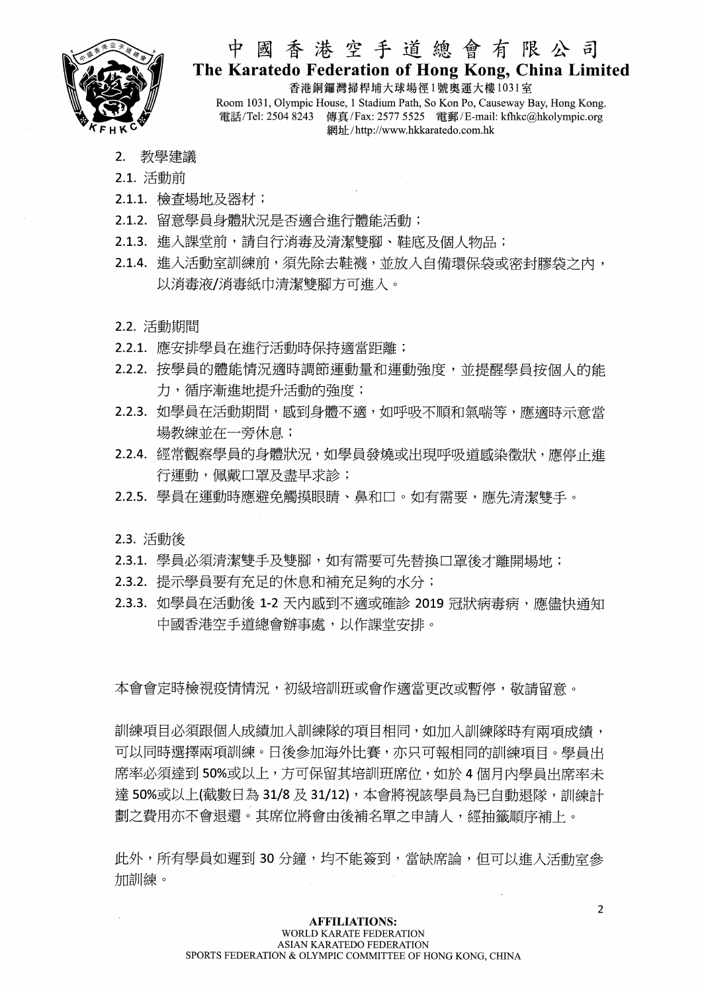

### 中國香港空手道總會有限公司 The Karatedo Federation of Hong Kong, China Limited

香港銅鑼灣掃桿埔大球場徑1號奧運大樓1031室 Room 1031, Olympic House, 1 Stadium Path, So Kon Po, Causeway Bay, Hong Kong, 電話/Tel: 2504 8243 傳真/Fax: 2577 5525 電郵/E-mail: kfhkc@hkolympic.org 網址/http://www.hkkaratedo.com.hk

- 2. 教學建議
- 2.1. 活動前
- 2.1.1. 檢查場地及器材;
- 2.1.2. 留意學員身體狀況是否適合進行體能活動;
- 2.1.3. 進入課堂前,請自行消毒及清潔雙腳、鞋底及個人物品;
- 2.1.4. 進入活動室訓練前,須先除去鞋襪,並放入自備環保袋或密封膠袋之內, 以消毒液/消毒紙巾清潔雙腳方可推入。
- 2.2. 活動期間
- 2.2.1. 應安排學員在進行活動時保持適當距離;
- 2.2.2. 按學員的體能情況適時調節運動量和運動強度,並提醒學員按個人的能 力,循序漸進地提升活動的強度;
- 2.2.3. 如學員在活動期間,感到身體不適,如呼吸不順和氣喘等,應適時示意當 場教練並在一旁休息;
- 2.2.4. 經常觀察學員的身體狀況, 如學員發燒或出現呼吸道感染徵狀, 應停止進 行運動, 佩戴口罩及盡早求診;
- 2.2.5. 學員在運動時應避免觸摸眼睛、鼻和口。如有需要,應先清潔雙手。

2.3. 活動後

- 2.3.1. 學員必須清潔雙手及雙腳,如有需要可先替換口罩後才離開場地;
- 2.3.2. 提示學員要有充足的休息和補充足夠的水分;
- 2.3.3. 如學員在活動後 1-2 天内感到不適或確診 2019 冠狀病毒病,應儘快通知 中國香港空手道總會辦事處,以作課堂安排。

本會會定時檢視疫情情況,初級培訓班或會作適當更改或暫停,敬請留意。

訓練項目必須跟個人成績加入訓練隊的項目相同,如加入訓練隊時有兩項成績, 可以同時選擇兩項訓練。日後參加海外比賽,亦只可報相同的訓練項目。學員出 席率必須達到50%或以上,方可保留其培訓班席位,如於4個月內學員出席率未 達 50%或以上(截數日為 31/8 及 31/12), 本會將視該學員為已自動退隊, 訓練計 劃之費用亦不會退還。其席位將會由後補名單之申請人,經抽籤順序補上。

此外,所有學員如遲到30分鐘,均不能簽到,當缺席論,但可以推入活動室參 加訓練。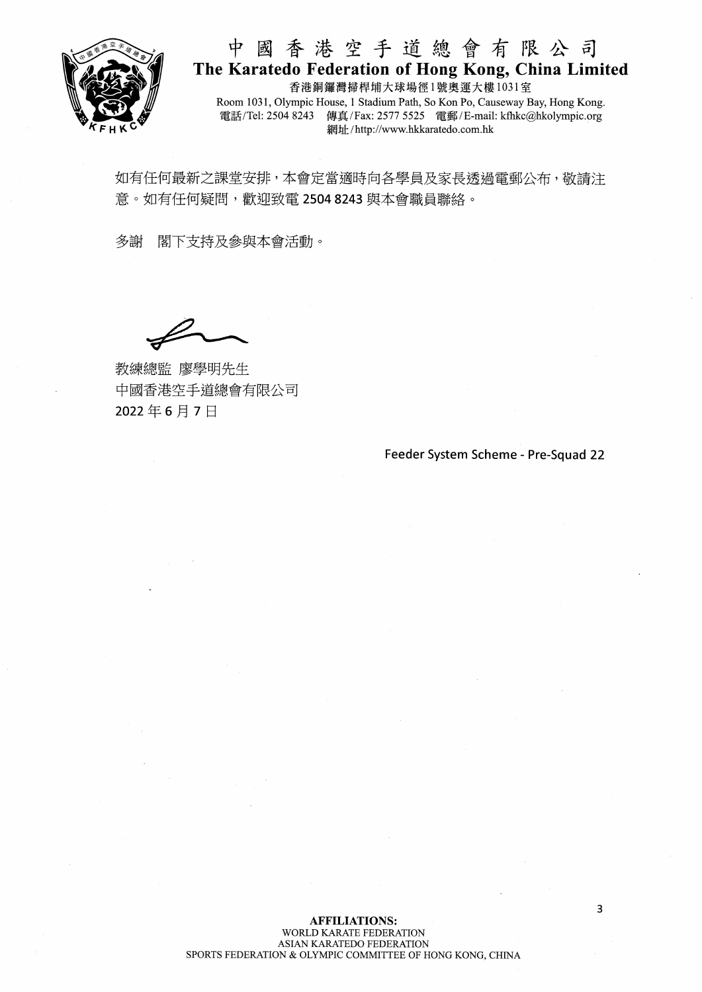

# 中國香港空手道總會有限公司 The Karatedo Federation of Hong Kong, China Limited

香港銅鑼灣掃桿埔大球場徑1號奧運大樓1031室 Room 1031, Olympic House, 1 Stadium Path, So Kon Po, Causeway Bay, Hong Kong. 電話/Tel: 2504 8243 傳真/Fax: 2577 5525 雷郵/E-mail: kfhkc@hkolympic.org 網址/http://www.hkkaratedo.com.hk

如有任何最新之課堂安排,本會定當適時向各學員及家長透過電郵公布,敬請注 意。如有任何疑問,歡迎致電 2504 8243 與本會職員聯絡。

多謝 閣下支持及參與本會活動。

教練總監 廖學明先生 中國香港空手道總會有限公司 2022年6月7日

Feeder System Scheme - Pre-Squad 22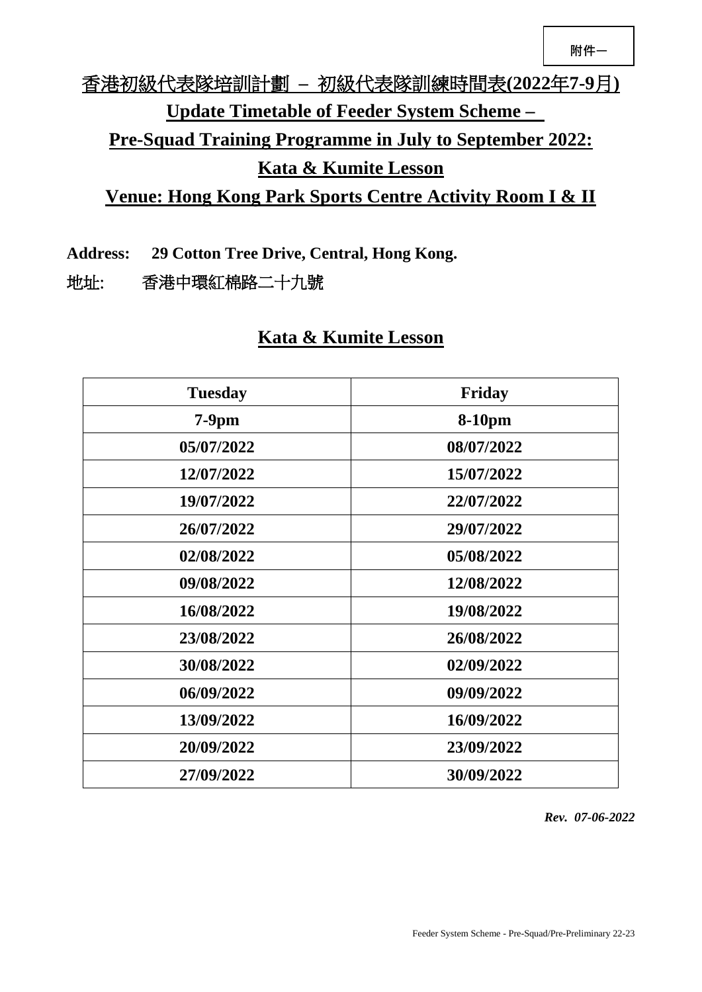# 香港初級代表隊培訓計劃 **–** 初級代表隊訓練時間表**(2022**年**7-9**月**) Update Timetable of Feeder System Scheme – Pre-Squad Training Programme in July to September 2022: Kata & Kumite Lesson Venue: Hong Kong Park Sports Centre Activity Room I & II**

**Address: 29 Cotton Tree Drive, Central, Hong Kong.**

地址: 香港中環紅棉路二十九號

## **Kata & Kumite Lesson**

| <b>Tuesday</b> | Friday     |  |
|----------------|------------|--|
| $7-9$ pm       | 8-10pm     |  |
| 05/07/2022     | 08/07/2022 |  |
| 12/07/2022     | 15/07/2022 |  |
| 19/07/2022     | 22/07/2022 |  |
| 26/07/2022     | 29/07/2022 |  |
| 02/08/2022     | 05/08/2022 |  |
| 09/08/2022     | 12/08/2022 |  |
| 16/08/2022     | 19/08/2022 |  |
| 23/08/2022     | 26/08/2022 |  |
| 30/08/2022     | 02/09/2022 |  |
| 06/09/2022     | 09/09/2022 |  |
| 13/09/2022     | 16/09/2022 |  |
| 20/09/2022     | 23/09/2022 |  |
| 27/09/2022     | 30/09/2022 |  |

*Rev. 07-06-2022*